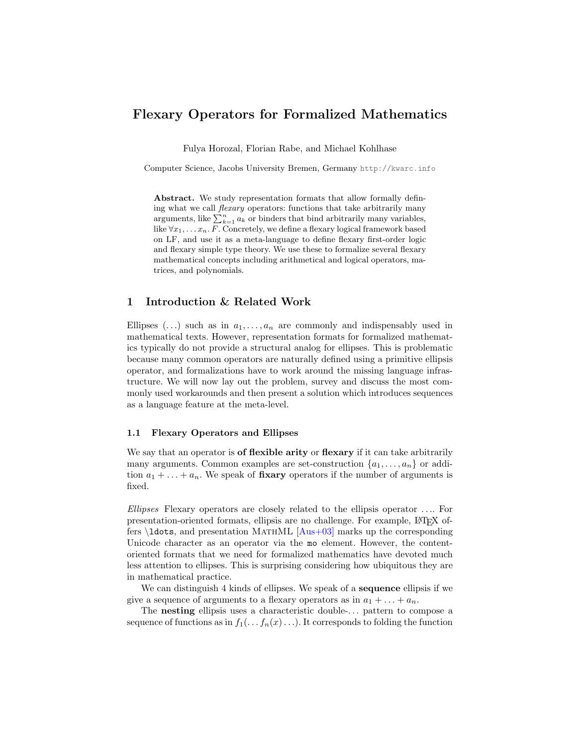# <span id="page-0-0"></span>Flexary Operators for Formalized Mathematics

Fulya Horozal, Florian Rabe, and Michael Kohlhase

Computer Science, Jacobs University Bremen, Germany <http://kwarc.info>

Abstract. We study representation formats that allow formally defining what we call flexary operators: functions that take arbitrarily many arguments, like  $\sum_{k=1}^{n} a_k$  or binders that bind arbitrarily many variables, like  $\forall x_1, \ldots, x_n$ . F. Concretely, we define a flexary logical framework based on LF, and use it as a meta-language to define flexary first-order logic and flexary simple type theory. We use these to formalize several flexary mathematical concepts including arithmetical and logical operators, matrices, and polynomials.

## 1 Introduction & Related Work

Ellipses  $(\ldots)$  such as in  $a_1, \ldots, a_n$  are commonly and indispensably used in mathematical texts. However, representation formats for formalized mathematics typically do not provide a structural analog for ellipses. This is problematic because many common operators are naturally defined using a primitive ellipsis operator, and formalizations have to work around the missing language infrastructure. We will now lay out the problem, survey and discuss the most commonly used workarounds and then present a solution which introduces sequences as a language feature at the meta-level.

#### 1.1 Flexary Operators and Ellipses

We say that an operator is **of flexible arity** or **flexary** if it can take arbitrarily many arguments. Common examples are set-construction  $\{a_1, \ldots, a_n\}$  or addition  $a_1 + \ldots + a_n$ . We speak of fixary operators if the number of arguments is fixed.

Ellipses Flexary operators are closely related to the ellipsis operator . . .. For presentation-oriented formats, ellipsis are no challenge. For example, LATEX offers \ldots, and presentation MathML [\[Aus+03\]](#page-15-0) marks up the corresponding Unicode character as an operator via the mo element. However, the contentoriented formats that we need for formalized mathematics have devoted much less attention to ellipses. This is surprising considering how ubiquitous they are in mathematical practice.

We can distinguish 4 kinds of ellipses. We speak of a **sequence** ellipsis if we give a sequence of arguments to a flexary operators as in  $a_1 + \ldots + a_n$ .

The **nesting** ellipsis uses a characteristic double-... pattern to compose a sequence of functions as in  $f_1(\ldots f_n(x) \ldots)$ . It corresponds to folding the function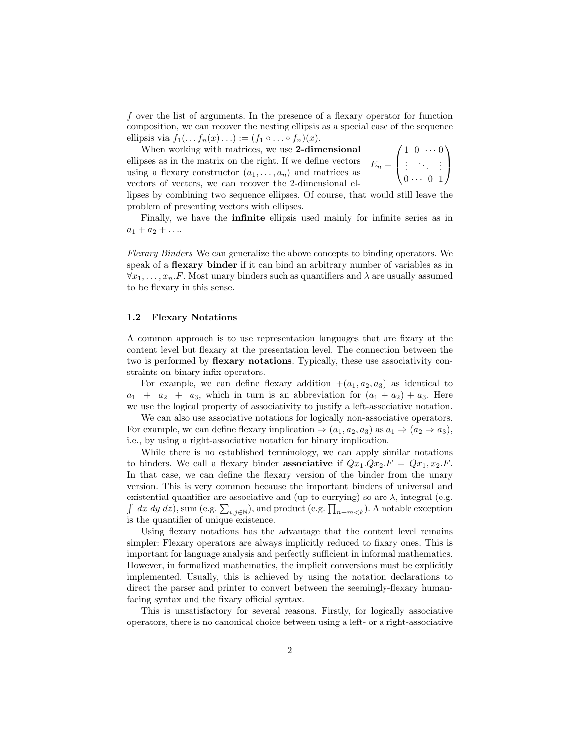f over the list of arguments. In the presence of a flexary operator for function composition, we can recover the nesting ellipsis as a special case of the sequence ellipsis via  $f_1(\ldots f_n(x) \ldots) := (f_1 \circ \ldots \circ f_n)(x)$ .

When working with matrices, we use 2-dimensional ellipses as in the matrix on the right. If we define vectors using a flexary constructor  $(a_1, \ldots, a_n)$  and matrices as vectors of vectors, we can recover the 2-dimensional el-

 $E_n =$  $\sqrt{ }$  $\overline{ }$  $1 \quad 0 \quad \cdots 0$  $\mathbb{R}^3 \times \mathbb{R}^3$  $0 \cdots 0 1$  $\setminus$  $\Big\}$ 

lipses by combining two sequence ellipses. Of course, that would still leave the problem of presenting vectors with ellipses.

Finally, we have the infinite ellipsis used mainly for infinite series as in  $a_1 + a_2 + \ldots$ 

Flexary Binders We can generalize the above concepts to binding operators. We speak of a flexary binder if it can bind an arbitrary number of variables as in  $\forall x_1, \ldots, x_n. F$ . Most unary binders such as quantifiers and  $\lambda$  are usually assumed to be flexary in this sense.

#### 1.2 Flexary Notations

A common approach is to use representation languages that are fixary at the content level but flexary at the presentation level. The connection between the two is performed by flexary notations. Typically, these use associativity constraints on binary infix operators.

For example, we can define flexary addition  $+(a_1, a_2, a_3)$  as identical to  $a_1 + a_2 + a_3$ , which in turn is an abbreviation for  $(a_1 + a_2) + a_3$ . Here we use the logical property of associativity to justify a left-associative notation.

We can also use associative notations for logically non-associative operators. For example, we can define flexary implication  $\Rightarrow$   $(a_1, a_2, a_3)$  as  $a_1 \Rightarrow (a_2 \Rightarrow a_3)$ , i.e., by using a right-associative notation for binary implication.

While there is no established terminology, we can apply similar notations to binders. We call a flexary binder **associative** if  $Qx_1.Qx_2.F = Qx_1, x_2.F$ . In that case, we can define the flexary version of the binder from the unary version. This is very common because the important binders of universal and existential quantifier are associative and (up to currying) so are  $\lambda$ , integral (e.g.  $\int dx dy dz$ , sum (e.g.  $\sum_{i,j\in\mathbb{N}}$ ), and product (e.g.  $\prod_{n+m< k}$ ). A notable exception is the quantifier of unique existence.

Using flexary notations has the advantage that the content level remains simpler: Flexary operators are always implicitly reduced to fixary ones. This is important for language analysis and perfectly sufficient in informal mathematics. However, in formalized mathematics, the implicit conversions must be explicitly implemented. Usually, this is achieved by using the notation declarations to direct the parser and printer to convert between the seemingly-flexary humanfacing syntax and the fixary official syntax.

This is unsatisfactory for several reasons. Firstly, for logically associative operators, there is no canonical choice between using a left- or a right-associative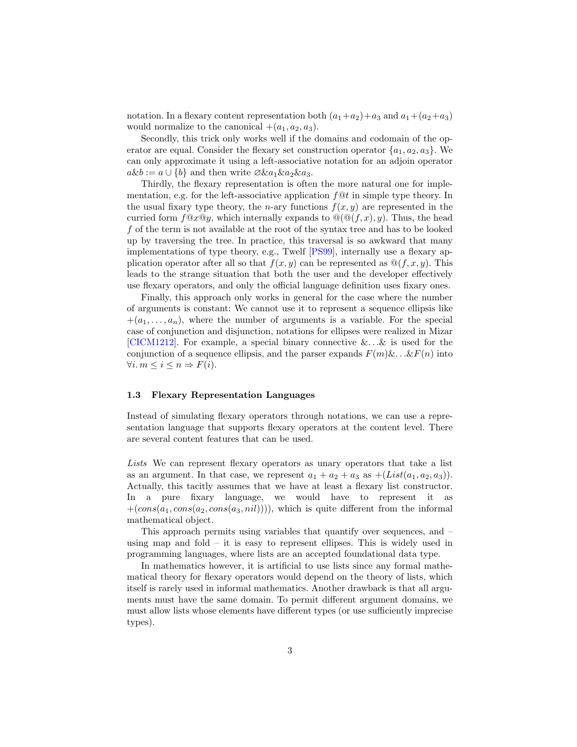notation. In a flexary content representation both  $(a_1+a_2)+a_3$  and  $a_1+(a_2+a_3)$ would normalize to the canonical  $+(a_1, a_2, a_3)$ .

Secondly, this trick only works well if the domains and codomain of the operator are equal. Consider the flexary set construction operator  $\{a_1, a_2, a_3\}$ . We can only approximate it using a left-associative notation for an adjoin operator  $a\&b := a \cup \{b\}$  and then write  $\emptyset \& a_1 \& a_2 \& a_3.$ 

Thirdly, the flexary representation is often the more natural one for implementation, e.g. for the left-associative application  $f@t$  in simple type theory. In the usual fixary type theory, the *n*-ary functions  $f(x, y)$  are represented in the curried form  $f@x@y$ , which internally expands to  $@(@(f, x), y)$ . Thus, the head f of the term is not available at the root of the syntax tree and has to be looked up by traversing the tree. In practice, this traversal is so awkward that many implementations of type theory, e.g., Twelf [\[PS99\]](#page-16-0), internally use a flexary application operator after all so that  $f(x, y)$  can be represented as  $\mathcal{Q}(f, x, y)$ . This leads to the strange situation that both the user and the developer effectively use flexary operators, and only the official language definition uses fixary ones.

Finally, this approach only works in general for the case where the number of arguments is constant: We cannot use it to represent a sequence ellipsis like  $+(a_1, \ldots, a_n)$ , where the number of arguments is a variable. For the special case of conjunction and disjunction, notations for ellipses were realized in Mizar [\[CICM1212\]](#page-15-1). For example, a special binary connective &. . .& is used for the conjunction of a sequence ellipsis, and the parser expands  $F(m)\&\ldots\&F(n)$  into  $\forall i. m \leq i \leq n \Rightarrow F(i).$ 

#### 1.3 Flexary Representation Languages

Instead of simulating flexary operators through notations, we can use a representation language that supports flexary operators at the content level. There are several content features that can be used.

Lists We can represent flexary operators as unary operators that take a list as an argument. In that case, we represent  $a_1 + a_2 + a_3$  as  $+(List(a_1, a_2, a_3))$ . Actually, this tacitly assumes that we have at least a flexary list constructor. In a pure fixary language, we would have to represent it as  $+(cons(a_1, cons(a_2, cons(a_3, nil))))$ , which is quite different from the informal mathematical object.

This approach permits using variables that quantify over sequences, and – using map and fold  $-$  it is easy to represent ellipses. This is widely used in programming languages, where lists are an accepted foundational data type.

In mathematics however, it is artificial to use lists since any formal mathematical theory for flexary operators would depend on the theory of lists, which itself is rarely used in informal mathematics. Another drawback is that all arguments must have the same domain. To permit different argument domains, we must allow lists whose elements have different types (or use sufficiently imprecise types).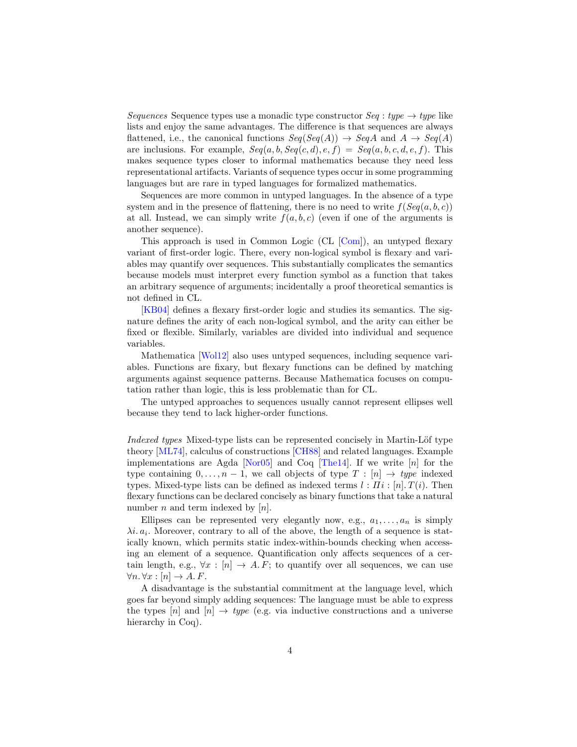Sequences Sequence types use a monadic type constructor  $Seq : type \rightarrow type$  like lists and enjoy the same advantages. The difference is that sequences are always flattened, i.e., the canonical functions  $Seq(Seq(A)) \rightarrow SeqA$  and  $A \rightarrow Seq(A)$ are inclusions. For example,  $Seq(a, b, Seq(c, d), e, f) = Seq(a, b, c, d, e, f)$ . This makes sequence types closer to informal mathematics because they need less representational artifacts. Variants of sequence types occur in some programming languages but are rare in typed languages for formalized mathematics.

Sequences are more common in untyped languages. In the absence of a type system and in the presence of flattening, there is no need to write  $f(Seq(a, b, c))$ at all. Instead, we can simply write  $f(a, b, c)$  (even if one of the arguments is another sequence).

This approach is used in Common Logic (CL [\[Com\]](#page-15-2)), an untyped flexary variant of first-order logic. There, every non-logical symbol is flexary and variables may quantify over sequences. This substantially complicates the semantics because models must interpret every function symbol as a function that takes an arbitrary sequence of arguments; incidentally a proof theoretical semantics is not defined in CL.

[\[KB04\]](#page-15-3) defines a flexary first-order logic and studies its semantics. The signature defines the arity of each non-logical symbol, and the arity can either be fixed or flexible. Similarly, variables are divided into individual and sequence variables.

Mathematica [\[Wol12\]](#page-16-1) also uses untyped sequences, including sequence variables. Functions are fixary, but flexary functions can be defined by matching arguments against sequence patterns. Because Mathematica focuses on computation rather than logic, this is less problematic than for CL.

The untyped approaches to sequences usually cannot represent ellipses well because they tend to lack higher-order functions.

 $Indeed types$  Mixed-type lists can be represented concisely in Martin-Löf type theory [\[ML74\]](#page-15-4), calculus of constructions [\[CH88\]](#page-15-5) and related languages. Example implementations are Agda  $\lfloor \text{Nor05} \rfloor$  and  $\lfloor \text{Coq} \rfloor$   $\lfloor \text{The14} \rfloor$ . If we write  $\lfloor n \rfloor$  for the type containing  $0, \ldots, n-1$ , we call objects of type  $T : [n] \rightarrow type$  indexed types. Mixed-type lists can be defined as indexed terms  $l : \Pi i : [n], T(i)$ . Then flexary functions can be declared concisely as binary functions that take a natural number *n* and term indexed by  $[n]$ .

Ellipses can be represented very elegantly now, e.g.,  $a_1, \ldots, a_n$  is simply  $\lambda i. a_i$ . Moreover, contrary to all of the above, the length of a sequence is statically known, which permits static index-within-bounds checking when accessing an element of a sequence. Quantification only affects sequences of a certain length, e.g.,  $\forall x : [n] \rightarrow A$ . F; to quantify over all sequences, we can use  $\forall n. \forall x : [n] \rightarrow A. F.$ 

A disadvantage is the substantial commitment at the language level, which goes far beyond simply adding sequences: The language must be able to express the types  $[n]$  and  $[n] \rightarrow type$  (e.g. via inductive constructions and a universe hierarchy in Coq).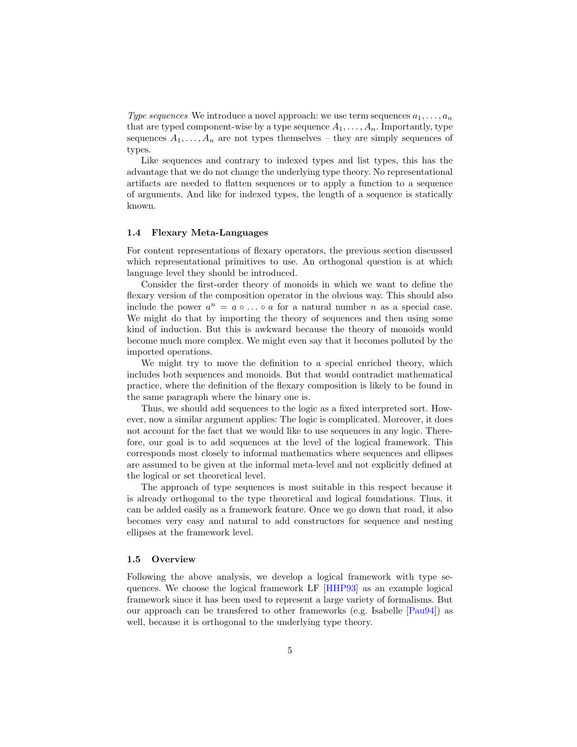Type sequences We introduce a novel approach: we use term sequences  $a_1, \ldots, a_n$ that are typed component-wise by a type sequence  $A_1, \ldots, A_n$ . Importantly, type sequences  $A_1, \ldots, A_n$  are not types themselves – they are simply sequences of types.

Like sequences and contrary to indexed types and list types, this has the advantage that we do not change the underlying type theory. No representational artifacts are needed to flatten sequences or to apply a function to a sequence of arguments. And like for indexed types, the length of a sequence is statically known.

#### 1.4 Flexary Meta-Languages

For content representations of flexary operators, the previous section discussed which representational primitives to use. An orthogonal question is at which language level they should be introduced.

Consider the first-order theory of monoids in which we want to define the flexary version of the composition operator in the obvious way. This should also include the power  $a^n = a \circ \dots \circ a$  for a natural number n as a special case. We might do that by importing the theory of sequences and then using some kind of induction. But this is awkward because the theory of monoids would become much more complex. We might even say that it becomes polluted by the imported operations.

We might try to move the definition to a special enriched theory, which includes both sequences and monoids. But that would contradict mathematical practice, where the definition of the flexary composition is likely to be found in the same paragraph where the binary one is.

Thus, we should add sequences to the logic as a fixed interpreted sort. However, now a similar argument applies: The logic is complicated. Moreover, it does not account for the fact that we would like to use sequences in any logic. Therefore, our goal is to add sequences at the level of the logical framework. This corresponds most closely to informal mathematics where sequences and ellipses are assumed to be given at the informal meta-level and not explicitly defined at the logical or set theoretical level.

The approach of type sequences is most suitable in this respect because it is already orthogonal to the type theoretical and logical foundations. Thus, it can be added easily as a framework feature. Once we go down that road, it also becomes very easy and natural to add constructors for sequence and nesting ellipses at the framework level.

#### 1.5 Overview

Following the above analysis, we develop a logical framework with type sequences. We choose the logical framework LF [\[HHP93\]](#page-15-7) as an example logical framework since it has been used to represent a large variety of formalisms. But our approach can be transfered to other frameworks (e.g. Isabelle [\[Pau94\]](#page-15-8)) as well, because it is orthogonal to the underlying type theory.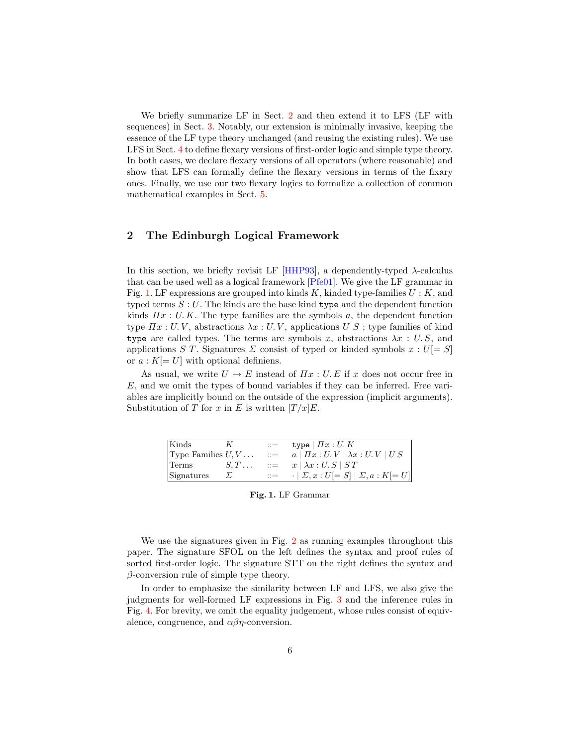We briefly summarize LF in Sect. [2](#page-5-0) and then extend it to LFS (LF with sequences) in Sect. [3.](#page-6-0) Notably, our extension is minimally invasive, keeping the essence of the LF type theory unchanged (and reusing the existing rules). We use LFS in Sect. [4](#page-11-0) to define flexary versions of first-order logic and simple type theory. In both cases, we declare flexary versions of all operators (where reasonable) and show that LFS can formally define the flexary versions in terms of the fixary ones. Finally, we use our two flexary logics to formalize a collection of common mathematical examples in Sect. [5.](#page-12-0)

## <span id="page-5-0"></span>2 The Edinburgh Logical Framework

In this section, we briefly revisit LF [\[HHP93\]](#page-15-7), a dependently-typed  $\lambda$ -calculus that can be used well as a logical framework [\[Pfe01\]](#page-16-3). We give the LF grammar in Fig. [1.](#page-5-1) LF expressions are grouped into kinds K, kinded type-families  $U: K$ , and typed terms  $S: U$ . The kinds are the base kind type and the dependent function kinds  $\Pi x : U$ . The type families are the symbols a, the dependent function type  $\Pi x : U. V$ , abstractions  $\lambda x : U. V$ , applications U S; type families of kind type are called types. The terms are symbols x, abstractions  $\lambda x : U.S$ , and applications S T. Signatures  $\Sigma$  consist of typed or kinded symbols  $x : U = S$ or  $a: K = U$  with optional definiens.

As usual, we write  $U \to E$  instead of  $\Pi x : U.E$  if x does not occur free in E, and we omit the types of bound variables if they can be inferred. Free variables are implicitly bound on the outside of the expression (implicit arguments). Substitution of T for x in E is written  $[T/x]E$ .

| Kinds                      |               |                | $\therefore$ type $\mid Hx:U.K \mid$              |
|----------------------------|---------------|----------------|---------------------------------------------------|
| Type Families $U, V \dots$ |               | $\mathbf{H} =$ | $a \mid Hx : U. V \mid \lambda x : U. V \mid U.S$ |
| Terms                      | $S, T \ldots$ |                | $\therefore = x \mid \lambda x : U.S \mid ST$     |
| Signatures                 | $\Sigma$      | $\cdots =$     | $ \cdot  \Sigma, x : U = S]   \Sigma, a : K = U]$ |

<span id="page-5-1"></span>Fig. 1. LF Grammar

We use the signatures given in Fig. [2](#page-6-1) as running examples throughout this paper. The signature SFOL on the left defines the syntax and proof rules of sorted first-order logic. The signature STT on the right defines the syntax and  $\beta$ -conversion rule of simple type theory.

In order to emphasize the similarity between LF and LFS, we also give the judgments for well-formed LF expressions in Fig. [3](#page-6-2) and the inference rules in Fig. [4.](#page-6-3) For brevity, we omit the equality judgement, whose rules consist of equivalence, congruence, and  $\alpha\beta\eta$ -conversion.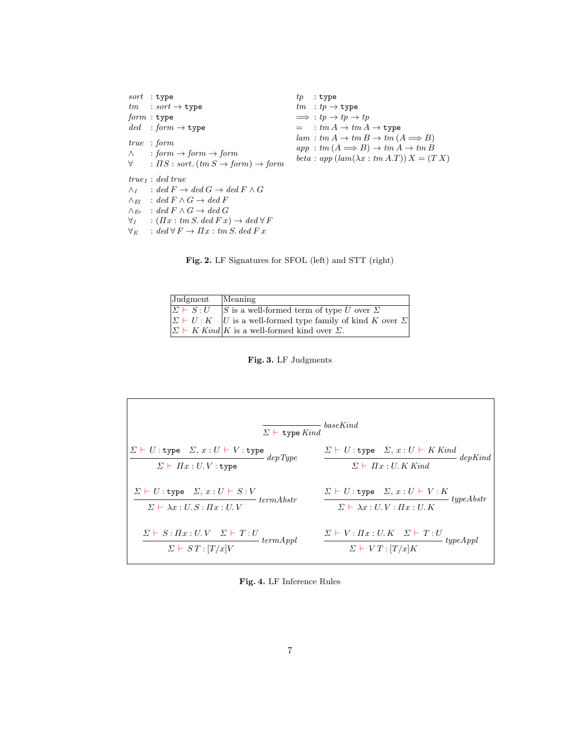|                       | $sort$ : type                                                                                                            | : type<br>tp                                                                                                                                                                       |
|-----------------------|--------------------------------------------------------------------------------------------------------------------------|------------------------------------------------------------------------------------------------------------------------------------------------------------------------------------|
|                       | $tm \quad : sort \rightarrow type$                                                                                       | $tm : tp \rightarrow type$                                                                                                                                                         |
|                       | form: type                                                                                                               | $\implies$ : $tp \rightarrow tp \rightarrow tp$                                                                                                                                    |
|                       | $ded \quad : form \rightarrow type$                                                                                      | $=$ : tm $A \rightarrow tm A \rightarrow$ type                                                                                                                                     |
| $\wedge$<br>$\forall$ | true : form<br>$: form \rightarrow form \rightarrow form$<br>: $\Pi S: sort.$ $(tm S \rightarrow form) \rightarrow form$ | $lam:tm A\rightarrow tm B\rightarrow tm (A\Longrightarrow B)$<br>$app:tm(A \Longrightarrow B) \rightarrow tm A \rightarrow tm B$<br>beta: app $(lam(\lambda x : tm A.T)) X = (TX)$ |
|                       | $true_I : ded \ true$                                                                                                    |                                                                                                                                                                                    |
| $\wedge_I$            | : ded $F \to$ ded $G \to$ ded $F \wedge G$                                                                               |                                                                                                                                                                                    |
|                       | $\wedge_{El}$ : ded $F \wedge G \rightarrow ded F$                                                                       |                                                                                                                                                                                    |
| $\wedge_{Er}$         | : ded $F \wedge G \rightarrow$ ded G                                                                                     |                                                                                                                                                                                    |
| $\forall_I$           | $\therefore$ ( <i>IIx : tm S. ded F x</i> ) $\rightarrow$ <i>ded</i> $\forall$ <i>F</i>                                  |                                                                                                                                                                                    |
| $\forall_E$           | : $ded \forall F \rightarrow \Pi x : tm S. ded F x$                                                                      |                                                                                                                                                                                    |

<span id="page-6-1"></span>

| Judgment           | Meaning                                                                      |
|--------------------|------------------------------------------------------------------------------|
| $\Sigma\vdash S:U$ | $ S $ is a well-formed term of type U over $\Sigma$                          |
|                    | $\Sigma \vdash U : K$ U is a well-formed type family of kind K over $\Sigma$ |
|                    | $ \Sigma \vdash K$ Kind K is a well-formed kind over $\Sigma$ .              |

<span id="page-6-2"></span>



<span id="page-6-3"></span><span id="page-6-0"></span>Fig. 4. LF Inference Rules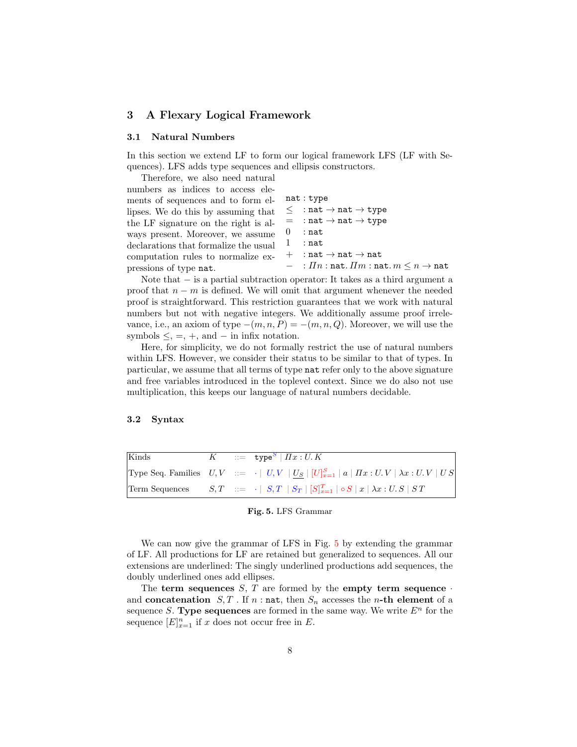## 3 A Flexary Logical Framework

#### 3.1 Natural Numbers

In this section we extend LF to form our logical framework LFS (LF with Sequences). LFS adds type sequences and ellipsis constructors.

Therefore, we also need natural

| nat : type                                                                                     |
|------------------------------------------------------------------------------------------------|
| $\leq$ : nat $\rightarrow$ nat $\rightarrow$ type                                              |
| $=$ : nat $\rightarrow$ nat $\rightarrow$ type                                                 |
| $\theta$<br>: nat                                                                              |
| : nat                                                                                          |
| $\cdot$ nat $\rightarrow$ nat $\rightarrow$ nat                                                |
| $-$ : $\mathit{I}\mathit{I}n$ : nat. $\mathit{I}\mathit{I}m$ : nat. $m \leq n \rightarrow$ nat |
|                                                                                                |

Note that − is a partial subtraction operator: It takes as a third argument a proof that  $n - m$  is defined. We will omit that argument whenever the needed proof is straightforward. This restriction guarantees that we work with natural numbers but not with negative integers. We additionally assume proof irrelevance, i.e., an axiom of type  $-(m, n, P) = -(m, n, Q)$ . Moreover, we will use the symbols  $\leq, =, +$ , and  $-$  in infix notation.

Here, for simplicity, we do not formally restrict the use of natural numbers within LFS. However, we consider their status to be similar to that of types. In particular, we assume that all terms of type nat refer only to the above signature and free variables introduced in the toplevel context. Since we do also not use multiplication, this keeps our language of natural numbers decidable.

#### 3.2 Syntax

| Kinds |  | $K$ := type <sup>S</sup> $\mid$ $\Pi x : U$ . $K$                                                          |
|-------|--|------------------------------------------------------------------------------------------------------------|
|       |  | Type Seq. Families $U, V ::= \cdot   U, V   U_s   [U]_{x=1}^S   a   \Pi x : U. V   \lambda x : U. V   U S$ |
|       |  | Term Sequences $S,T ::= \cdot  S,T   S_T   S_{T=1}^T   \circ S   x   \lambda x : U.S   ST$                 |

#### <span id="page-7-0"></span>Fig. 5. LFS Grammar

We can now give the grammar of LFS in Fig. [5](#page-7-0) by extending the grammar of LF. All productions for LF are retained but generalized to sequences. All our extensions are underlined: The singly underlined productions add sequences, the doubly underlined ones add ellipses.

The term sequences  $S$ ,  $T$  are formed by the empty term sequence  $\cdot$ and concatenation  $S, T$ . If n : nat, then  $S_n$  accesses the n-th element of a sequence S. Type sequences are formed in the same way. We write  $E<sup>n</sup>$  for the sequence  $[E]_{x=1}^n$  if x does not occur free in E.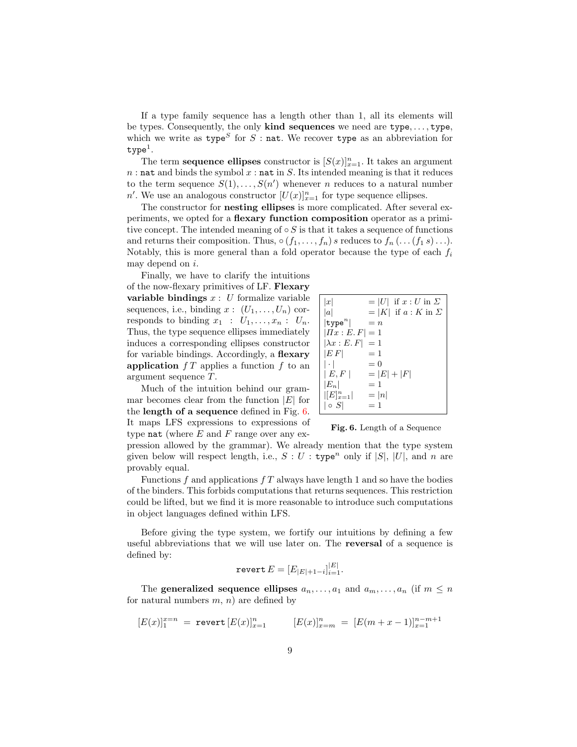If a type family sequence has a length other than 1, all its elements will be types. Consequently, the only kind sequences we need are type, . . . , type, which we write as type<sup>S</sup> for  $S$ : nat. We recover type as an abbreviation for  $\tt type^1.$ 

The term sequence ellipses constructor is  $[S(x)]_{x=1}^n$ . It takes an argument  $n:$  nat and binds the symbol  $x:$  nat in  $S$ . Its intended meaning is that it reduces to the term sequence  $S(1), \ldots, S(n')$  whenever n reduces to a natural number n'. We use an analogous constructor  $[U(x)]_{x=1}^n$  for type sequence ellipses.

The constructor for nesting ellipses is more complicated. After several experiments, we opted for a flexary function composition operator as a primitive concept. The intended meaning of  $\circ S$  is that it takes a sequence of functions and returns their composition. Thus,  $\circ$   $(f_1, \ldots, f_n)$  s reduces to  $f_n$   $(\ldots (f_1 s) \ldots)$ . Notably, this is more general than a fold operator because the type of each  $f_i$ may depend on i.

Finally, we have to clarify the intuitions of the now-flexary primitives of LF. Flexary **variable bindings**  $x : U$  formalize variable sequences, i.e., binding  $x: (U_1, \ldots, U_n)$  corresponds to binding  $x_1 : U_1, \ldots, x_n : U_n$ . Thus, the type sequence ellipses immediately induces a corresponding ellipses constructor for variable bindings. Accordingly, a flexary **application**  $f T$  applies a function  $f$  to an argument sequence T.

Much of the intuition behind our grammar becomes clear from the function  $|E|$  for the length of a sequence defined in Fig. [6.](#page-8-0) It maps LFS expressions to expressions of type nat (where  $E$  and  $F$  range over any ex-

| x                       | $=  U $ if $x: U$ in $\Sigma$ |
|-------------------------|-------------------------------|
| a                       | $=  K $ if $a: K$ in $\Sigma$ |
| $ \mathtt{type}^n $     | $n = n$                       |
| $ Hx : E. F  = 1$       |                               |
| $ \lambda x : E.F  = 1$ |                               |
| $ E\,F $                | $=1$                          |
| $ \cdot $               | $= 0$                         |
| E, F                    | $=  E  +  F $                 |
| $ E_n $                 | $=1$                          |
| $[[E]_{x=1}^n]$         | $=$  n                        |
| $\mid \circ \: S \mid$  | $=1$                          |
|                         |                               |

<span id="page-8-0"></span>Fig. 6. Length of a Sequence

pression allowed by the grammar). We already mention that the type system given below will respect length, i.e.,  $S: U: \text{type}^n$  only if  $|S|, |U|$ , and n are provably equal.

Functions f and applications  $f T$  always have length 1 and so have the bodies of the binders. This forbids computations that returns sequences. This restriction could be lifted, but we find it is more reasonable to introduce such computations in object languages defined within LFS.

Before giving the type system, we fortify our intuitions by defining a few useful abbreviations that we will use later on. The reversal of a sequence is defined by:

$$
\text{\tt revert}\, E = [E_{|E|+1-i}]_{i=1}^{|E|}.
$$

The generalized sequence ellipses  $a_n, \ldots, a_1$  and  $a_m, \ldots, a_n$  (if  $m \leq n$ ) for natural numbers  $m, n$  are defined by

$$
[E(x)]_1^{x=n} = \text{revert} \, [E(x)]_{x=1}^n \qquad [E(x)]_{x=m}^n = [E(m+x-1)]_{x=1}^{n-m+1}
$$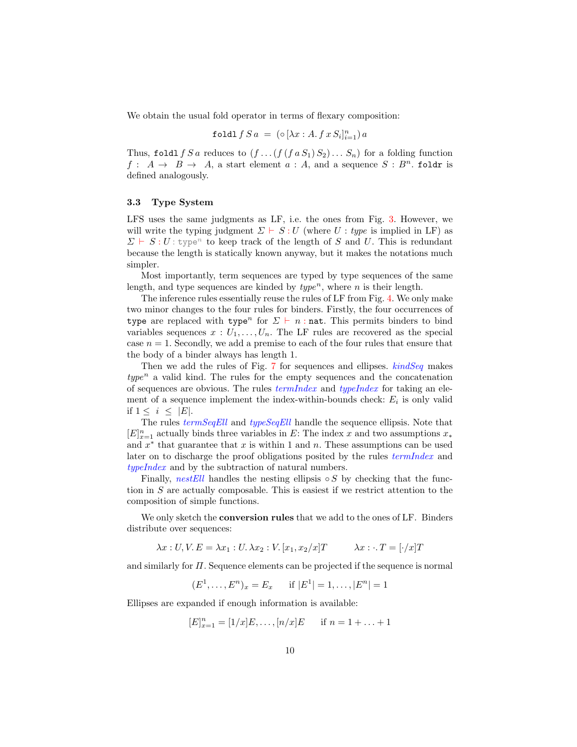We obtain the usual fold operator in terms of flexary composition:

$$
\mathtt{foldl}\: f\: S\: a \;=\; \big(\circ\:\big[\lambda x:A.\:f\:x\: S_i\big]_{i=1}^n\big)\:a
$$

Thus, foldl f S a reduces to  $(f \dots (f (f a S_1) S_2) \dots S_n)$  for a folding function  $f: A \rightarrow B \rightarrow A$ , a start element  $a: A$ , and a sequence  $S: B<sup>n</sup>$ . foldr is defined analogously.

#### 3.3 Type System

LFS uses the same judgments as LF, i.e. the ones from Fig. [3.](#page-6-2) However, we will write the typing judgment  $\Sigma \vdash S : U$  (where U : type is implied in LF) as  $\Sigma \vdash S : U : \text{type}^n$  to keep track of the length of S and U. This is redundant because the length is statically known anyway, but it makes the notations much simpler.

Most importantly, term sequences are typed by type sequences of the same length, and type sequences are kinded by  $type<sup>n</sup>$ , where n is their length.

The inference rules essentially reuse the rules of LF from Fig. [4.](#page-6-3) We only make two minor changes to the four rules for binders. Firstly, the four occurrences of type are replaced with type<sup>n</sup> for  $\Sigma \vdash n : \texttt{nat}.$  This permits binders to bind variables sequences  $x : U_1, \ldots, U_n$ . The LF rules are recovered as the special case  $n = 1$ . Secondly, we add a premise to each of the four rules that ensure that the body of a binder always has length 1.

Then we add the rules of Fig.  $7$  for sequences and ellipses.  $\text{kindSeq}$  $\text{kindSeq}$  $\text{kindSeq}$  makes  $type<sup>n</sup>$  a valid kind. The rules for the empty sequences and the concatenation of sequences are obvious. The rules [termIndex](#page-10-2) and [typeIndex](#page-10-3) for taking an element of a sequence implement the index-within-bounds check:  $E_i$  is only valid if  $1 \le i \le |E|$ .

The rules [termSeqEll](#page-10-4) and [typeSeqEll](#page-10-5) handle the sequence ellipsis. Note that  $[E]_{x=1}^n$  actually binds three variables in E: The index x and two assumptions  $x_*$ and  $x^*$  that guarantee that x is within 1 and n. These assumptions can be used later on to discharge the proof obligations posited by the rules [termIndex](#page-10-2) and [typeIndex](#page-10-3) and by the subtraction of natural numbers.

Finally, [nestEll](#page-10-6) handles the nesting ellipsis  $\circ S$  by checking that the function in S are actually composable. This is easiest if we restrict attention to the composition of simple functions.

We only sketch the **conversion rules** that we add to the ones of LF. Binders distribute over sequences:

$$
\lambda x : U, V. E = \lambda x_1 : U. \lambda x_2 : V. [x_1, x_2/x]T \qquad \lambda x : . T = [\cdot/x]T
$$

and similarly for  $\Pi$ . Sequence elements can be projected if the sequence is normal

$$
(E^1, ..., E^n)_x = E_x
$$
 if  $|E^1| = 1, ..., |E^n| = 1$ 

Ellipses are expanded if enough information is available:

$$
[E]_{x=1}^{n} = [1/x]E, \dots, [n/x]E \quad \text{if } n = 1 + \dots + 1
$$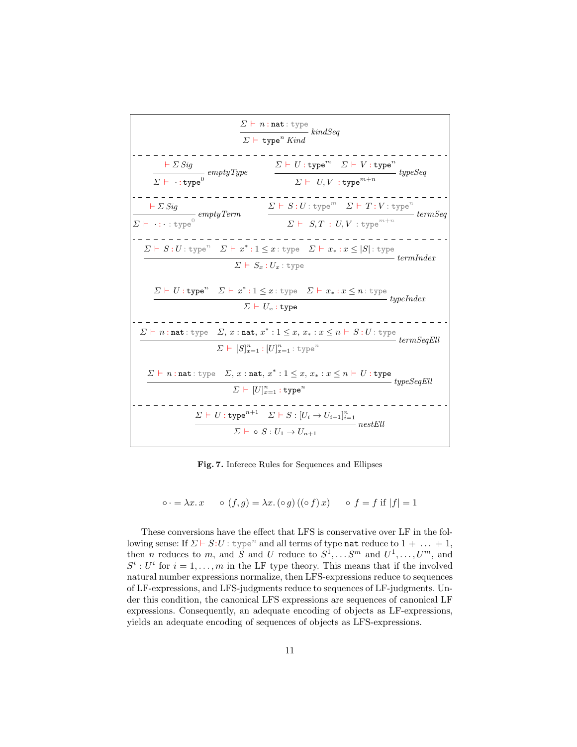<span id="page-10-1"></span>

<span id="page-10-6"></span><span id="page-10-5"></span><span id="page-10-4"></span><span id="page-10-3"></span><span id="page-10-2"></span><span id="page-10-0"></span>Fig. 7. Inferece Rules for Sequences and Ellipses

$$
\circ \cdot = \lambda x. x \qquad \circ (f, g) = \lambda x. (\circ g)((\circ f) x) \qquad \circ f = f \text{ if } |f| = 1
$$

These conversions have the effect that LFS is conservative over LF in the following sense: If  $\Sigma \vdash S:U : \text{type}^n$  and all terms of type nat reduce to  $1 + \ldots + 1$ , then *n* reduces to *m*, and *S* and *U* reduce to  $S^1, \ldots S^m$  and  $U^1, \ldots, U^m$ , and  $S^i: U^i$  for  $i = 1, ..., m$  in the LF type theory. This means that if the involved natural number expressions normalize, then LFS-expressions reduce to sequences of LF-expressions, and LFS-judgments reduce to sequences of LF-judgments. Under this condition, the canonical LFS expressions are sequences of canonical LF expressions. Consequently, an adequate encoding of objects as LF-expressions, yields an adequate encoding of sequences of objects as LFS-expressions.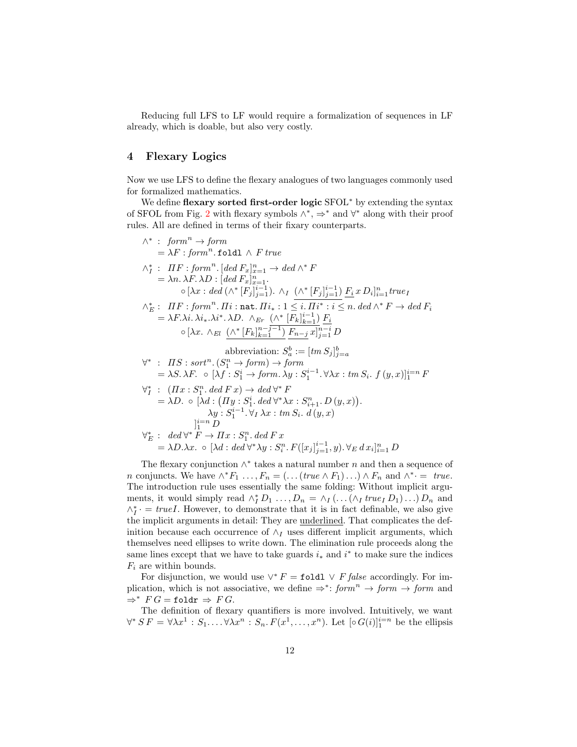Reducing full LFS to LF would require a formalization of sequences in LF already, which is doable, but also very costly.

## <span id="page-11-0"></span>4 Flexary Logics

Now we use LFS to define the flexary analogues of two languages commonly used for formalized mathematics.

We define flexary sorted first-order logic SFOL<sup>∗</sup> by extending the syntax of SFOL from Fig. [2](#page-6-1) with flexary symbols  $\wedge^*$ , ⇒<sup>\*</sup> and  $\forall^*$  along with their proof rules. All are defined in terms of their fixary counterparts.

∧ ∗ : form<sup>n</sup> → form = λF : form<sup>n</sup> . foldl ∧ F true ∧ ∗ I : ΠF : form<sup>n</sup> . [ded Fx] n <sup>x</sup>=1 → ded ∧ <sup>∗</sup> F = λn. λF. λD : [ded Fx] n <sup>x</sup>=1. ◦ [λx : ded (∧ ∗ [F<sup>j</sup> ] i−1 <sup>j</sup>=1). ∧<sup>I</sup> (∧ ∗ [F<sup>j</sup> ] i−1 <sup>j</sup>=1) F<sup>i</sup> x D<sup>i</sup> ] n <sup>i</sup>=1true<sup>I</sup> ∧ ∗ <sup>E</sup> : ΠF : form<sup>n</sup> . Πi : nat. Πi<sup>∗</sup> : 1 ≤ i. Πi<sup>∗</sup> : i ≤ n. ded ∧ <sup>∗</sup> F → ded F<sup>i</sup> = λF.λi. λi∗.λi<sup>∗</sup> . λD. ∧Er (∧ ∗ [Fk] i−1 <sup>k</sup>=1) F<sup>i</sup> ◦ [λx. ∧El (∧ ∗ [Fk] n−j−1 <sup>k</sup>=1 ) Fn−<sup>j</sup> x] n−i <sup>j</sup>=1 D abbreviation: S b a := [tm S<sup>j</sup> ] b j=a ∀ ∗ : ΠS : sortn.(S n <sup>1</sup> → form) → form = λS. λF. ◦ [λf : S i <sup>1</sup> → form. λy : S i−1 1 . ∀λx : tm S<sup>i</sup> . f (y, x)]i=<sup>n</sup> <sup>1</sup> F ∀ ∗ I : (Πx : S n 1 . ded F x) → ded ∀ <sup>∗</sup> F = λD. ◦ [λd : Πy : S i 1 . ded ∀ <sup>∗</sup>λx : S n <sup>i</sup>+1. D (y, x) . λy : S i−1 1 . ∀<sup>I</sup> λx : tm S<sup>i</sup> . d (y, x) ] i=n <sup>1</sup> D ∀ ∗ <sup>E</sup> : ded ∀ <sup>∗</sup> F → Πx : S n 1 . ded F x = λD.λx. ◦ [λd : ded ∀ <sup>∗</sup>λy : S n i . F([x<sup>j</sup> ] i−1 <sup>j</sup>=1, y). ∀<sup>E</sup> d x<sup>i</sup> ] n <sup>i</sup>=1 D

The flexary conjunction  $\wedge^*$  takes a natural number n and then a sequence of *n* conjuncts. We have  $\wedge^* F_1 \dots, F_n = (\dots (true \wedge F_1) \dots) \wedge F_n$  and  $\wedge^* = true$ . The introduction rule uses essentially the same folding: Without implicit arguments, it would simply read  $\wedge_I^* D_1 \ldots, D_n = \wedge_I (\ldots (\wedge_I \text{ true}_I D_1) \ldots) D_n$  and  $\wedge_I^* \cdot = \text{trueI}$ . However, to demonstrate that it is in fact definable, we also give the implicit arguments in detail: They are underlined. That complicates the definition because each occurrence of  $\wedge_I$  uses different implicit arguments, which themselves need ellipses to write down. The elimination rule proceeds along the same lines except that we have to take guards  $i_*$  and  $i^*$  to make sure the indices  $F_i$  are within bounds.

For disjunction, we would use  $\vee^* F = \text{fold } \vee F \text{ false accordingly.}$  For implication, which is not associative, we define  $\Rightarrow^*$ : form<sup>n</sup>  $\rightarrow$  form  $\rightarrow$  form and  $\Rightarrow^* F G = \text{foldr} \Rightarrow FG.$ 

The definition of flexary quantifiers is more involved. Intuitively, we want  $\forall^* S F = \forall \lambda x^1 : S_1. \ldots \forall \lambda x^n : S_n. F(x^1, \ldots, x^n)$ . Let  $[\circ G(i)]_1^{i=n}$  be the ellipsis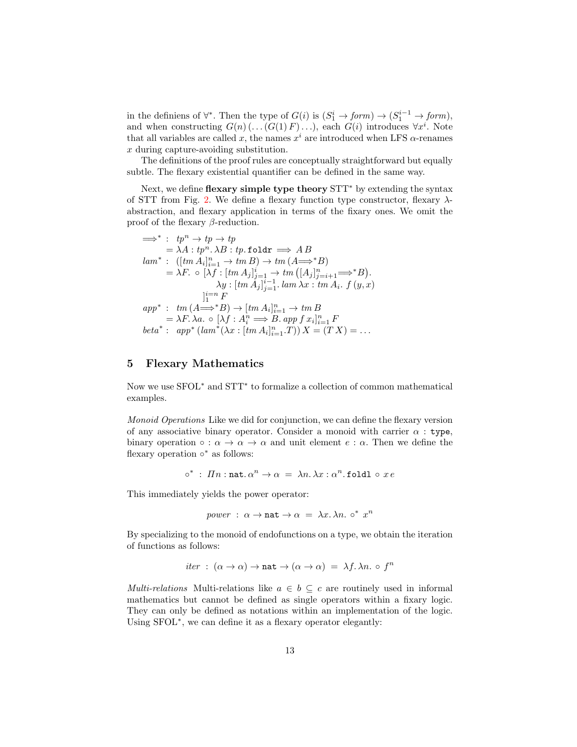in the definiens of  $\forall^*$ . Then the type of  $G(i)$  is  $(S_1^i \to form) \to (S_1^{i-1} \to form)$ , and when constructing  $G(n)$  (...  $(G(1)F)$ ...), each  $G(i)$  introduces  $\forall x^{i}$ . Note that all variables are called x, the names  $x^i$  are introduced when LFS  $\alpha$ -renames x during capture-avoiding substitution.

The definitions of the proof rules are conceptually straightforward but equally subtle. The flexary existential quantifier can be defined in the same way.

Next, we define flexary simple type theory STT<sup>∗</sup> by extending the syntax of STT from Fig. [2.](#page-6-1) We define a flexary function type constructor, flexary  $\lambda$ abstraction, and flexary application in terms of the fixary ones. We omit the proof of the flexary  $\beta$ -reduction.

$$
\Rightarrow^* : tp^n \to tp \to tp
$$
\n
$$
= \lambda A : tp^n \cdot \lambda B : tp \cdot \text{foldr} \implies AB
$$
\n
$$
lam^* : ([tm A_i]_{i=1}^n \to tm B) \to tm (A \Longrightarrow^* B)
$$
\n
$$
= \lambda F. \circ [\lambda f : [tm A_j]_{j=1}^i \to tm ([A_j]_{j=i+1}^n \Longrightarrow^* B).
$$
\n
$$
\lambda y : [tm A_j]_{j=1}^{i-1}. lam \lambda x : tm A_i. f (y, x)
$$
\n
$$
\lim_{i \to \infty} F
$$
\n
$$
app^* : tm (A \Longrightarrow^* B) \to [tm A_i]_{i=1}^n \to tm B
$$
\n
$$
= \lambda F. \lambda a. \circ [\lambda f : A_i^n \Longrightarrow B. app f x_i]_{i=1}^n F
$$
\n
$$
beta^* : app^* (lam^* (\lambda x : [tm A_i]_{i=1}^n .T)) X = (TX) = ...
$$

### <span id="page-12-0"></span>5 Flexary Mathematics

Now we use SFOL<sup>\*</sup> and STT<sup>\*</sup> to formalize a collection of common mathematical examples.

Monoid Operations Like we did for conjunction, we can define the flexary version of any associative binary operator. Consider a monoid with carrier  $\alpha$ : type, binary operation  $\circ : \alpha \to \alpha \to \alpha$  and unit element  $e : \alpha$ . Then we define the flexary operation  $\circ^*$  as follows:

$$
\circ^* \ : \ In: \mathbf{nat}.\ \alpha^n \to \alpha \ = \ \lambda n.\ \lambda x: \alpha^n.\ \mathtt{foldl}\ \circ\ x\ e
$$

This immediately yields the power operator:

$$
\textit{power} \; : \; \alpha \to \mathtt{nat} \to \alpha \; = \; \lambda x. \, \lambda n. \, \circ^* \, x^n
$$

By specializing to the monoid of endofunctions on a type, we obtain the iteration of functions as follows:

*iter* : 
$$
(\alpha \to \alpha) \to \text{nat} \to (\alpha \to \alpha) = \lambda f \cdot \lambda n \cdot \circ f^n
$$

*Multi-relations* Multi-relations like  $a \in b \subseteq c$  are routinely used in informal mathematics but cannot be defined as single operators within a fixary logic. They can only be defined as notations within an implementation of the logic. Using SFOL<sup>\*</sup>, we can define it as a flexary operator elegantly: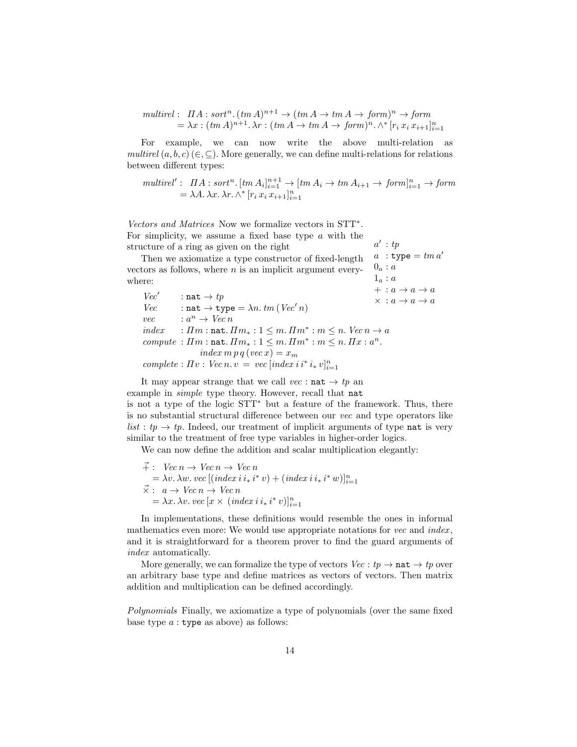$$
\begin{array}{ll}\n\text{multirel}: \ \ \Pi A: \ \text{sort}^n. \ (\text{tm } A)^{n+1} \to (\text{tm } A \to \text{tm } A \to \text{form})^n \to \text{form} \\
\qquad = \lambda x: (\text{tm } A)^{n+1}. \ \lambda r: (\text{tm } A \to \text{tm } A \to \text{form})^n. \wedge^* [r_i \ x_i \ x_{i+1}]_{i=1}^n\n\end{array}
$$

For example, we can now write the above multi-relation as multirel  $(a, b, c)$  ( $\in$ ,  $\subseteq$ ). More generally, we can define multi-relations for relations between different types:

$$
multirel': \ \Pi A: sort^n. \ [tm A_i]_{i=1}^{n+1} \to [tm A_i \to tm A_{i+1} \to form]_{i=1}^n \to form
$$

$$
= \lambda A. \ \lambda x. \ \lambda r. \ \wedge^* \ [r_i \ x_i \ x_{i+1}]_{i=1}^n
$$

 $a': tp$ 

Vectors and Matrices Now we formalize vectors in STT<sup>∗</sup> . For simplicity, we assume a fixed base type  $a$  with the structure of a ring as given on the right

 $a \; : \text{type} = tm \, a'$  $0_a : a$  $1_a : a$  $+ : a \rightarrow a \rightarrow a$ Then we axiomatize a type constructor of fixed-length vectors as follows, where  $n$  is an implicit argument everywhere:

 $\times : a \to a \to a$  $Vec'$ : nat  $\rightarrow tp$  $Vec$  : nat  $\rightarrow$  type =  $\lambda n$ . tm (Vec'n)  $vec$  $a^n \rightarrow Vec n$  $index \quad : \text{I} \mathbb{I} \mathbb{m} : \text{nat.} \text{I} \mathbb{I} \mathbb{m}_* : 1 \leq m. \text{I} \mathbb{I} \mathbb{m}^* : m \leq n. \text{ Vec } n \to a$  $compute: Im: \texttt{nat}. Im_* : 1 \leq m. Im^* : m \leq n. Hx: a^n.$ index m p q (vec x) =  $x_m$  $complete: \Pi v: \text{Vec } n. v = \text{vec} [\text{index } i \, i^* \, i_* \, v]_{i=1}^n$ 

It may appear strange that we call  $vec : \textbf{nat} \to tp$  and example in simple type theory. However, recall that nat is not a type of the logic STT<sup>∗</sup> but a feature of the framework. Thus, there is no substantial structural difference between our vec and type operators like list :  $tp \rightarrow tp$ . Indeed, our treatment of implicit arguments of type nat is very similar to the treatment of free type variables in higher-order logics.

We can now define the addition and scalar multiplication elegantly:

 $\vec{+}$ :  $Vec\,n \rightarrow Vec\,n \rightarrow Vec\,n$ =  $\lambda v. \lambda w. \, vec \left[ (index \, i \, i \ast v) + (index \, i \, i \ast w) \right]_{i=1}^n$  $\vec{\times}$  :  $a \rightarrow \text{Vec } n \rightarrow \text{Vec } n$  $= \lambda x.\,\lambda v.\,vec\; [x \times (\text{index } i\, i_*\, i^* \, v)]_{i=1}^n$ 

In implementations, these definitions would resemble the ones in informal mathematics even more: We would use appropriate notations for  $vec$  and  $index$ , and it is straightforward for a theorem prover to find the guard arguments of index automatically.

More generally, we can formalize the type of vectors  $Vec: tp \to nat \to tp$  over an arbitrary base type and define matrices as vectors of vectors. Then matrix addition and multiplication can be defined accordingly.

Polynomials Finally, we axiomatize a type of polynomials (over the same fixed base type  $a$ : type as above) as follows: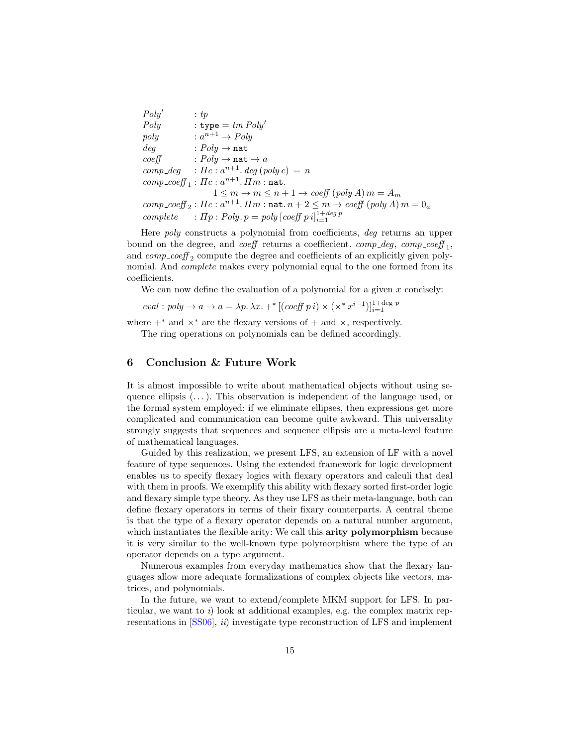$Poly$ : tp Poly : type = tm Poly<sup>0</sup>  $\Omega$  $a^{n+1} \rightarrow Poly$  $deg$  :  $Poly \rightarrow nat$  $\text{coeff} \qquad \text{if } \text{Poly} \to \texttt{nat} \to a$  $comp\_deg$  $n+1$ . deg (poly c) = n  $comp\_coeff_1: \Pi c: a^{n+1}. \Pi m: \mathtt{nat}.$  $1 \leq m \to m \leq n+1 \to \text{coeff}$  (poly A)  $m = A_m$  $comp\_coeff_2: \textit{IIc}: a^{n+1}. \textit{IIm}: \texttt{nat}. \textit{n}+2 \leq m \rightarrow coeff\text{ }(\textit{poly}\text{ }A)\text{ }m=0_a$ complete  $IP: Poly. p = poly[coeff p i]_{i=1}^{1+deg p}$ 

Here poly constructs a polynomial from coefficients, deg returns an upper bound on the degree, and *coeff* returns a coeffiecient.  $comp\_deg$ ,  $comp\_coeff_1$ , and  $\mathit{comp}\_\mathit{coeff}_2$  compute the degree and coefficients of an explicitly given polynomial. And *complete* makes every polynomial equal to the one formed from its coefficients.

We can now define the evaluation of a polynomial for a given  $x$  concisely:

eval : poly 
$$
\rightarrow a \rightarrow a = \lambda p. \lambda x. +^* [(\text{coeff } p i) \times (\times^* x^{i-1})]_{i=1}^{1+\text{deg } p}
$$

where  $+^*$  and  $\times^*$  are the flexary versions of  $+$  and  $\times$ , respectively.

The ring operations on polynomials can be defined accordingly.

## 6 Conclusion & Future Work

It is almost impossible to write about mathematical objects without using sequence ellipsis  $(\ldots)$ . This observation is independent of the language used, or the formal system employed: if we eliminate ellipses, then expressions get more complicated and communication can become quite awkward. This universality strongly suggests that sequences and sequence ellipsis are a meta-level feature of mathematical languages.

Guided by this realization, we present LFS, an extension of LF with a novel feature of type sequences. Using the extended framework for logic development enables us to specify flexary logics with flexary operators and calculi that deal with them in proofs. We exemplify this ability with flexary sorted first-order logic and flexary simple type theory. As they use LFS as their meta-language, both can define flexary operators in terms of their fixary counterparts. A central theme is that the type of a flexary operator depends on a natural number argument, which instantiates the flexible arity: We call this **arity polymorphism** because it is very similar to the well-known type polymorphism where the type of an operator depends on a type argument.

Numerous examples from everyday mathematics show that the flexary languages allow more adequate formalizations of complex objects like vectors, matrices, and polynomials.

In the future, we want to extend/complete MKM support for LFS. In particular, we want to  $i$ ) look at additional examples, e.g. the complex matrix rep-resentations in [\[SS06\]](#page-16-4), *ii*) investigate type reconstruction of LFS and implement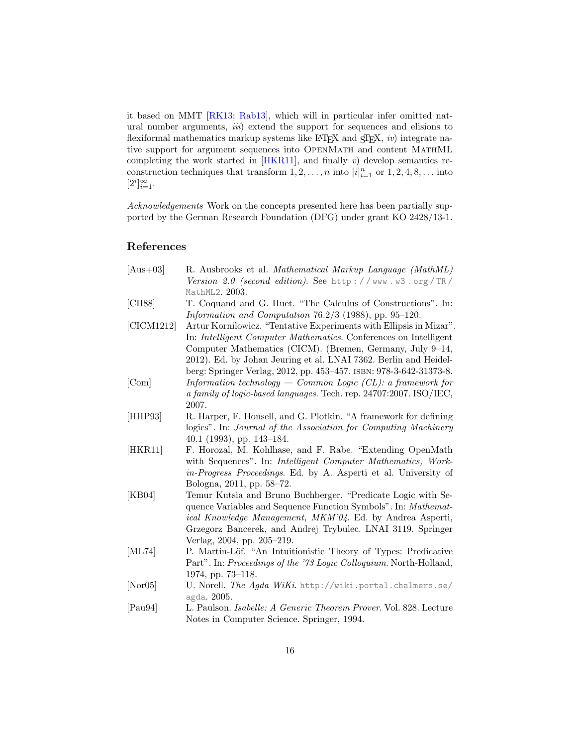it based on MMT [\[RK13;](#page-16-5) [Rab13\]](#page-16-6), which will in particular infer omitted natural number arguments, *iii*) extend the support for sequences and elisions to flexiformal mathematics markup systems like LAT<sub>E</sub>X and  $\langle$ T<sub>E</sub>X, *iv*) integrate native support for argument sequences into OPENMATH and content MATHML completing the work started in  $[HKR11]$ , and finally v) develop semantics reconstruction techniques that transform  $1, 2, ..., n$  into  $[i]_{i=1}^n$  or  $1, 2, 4, 8, ...$  into  $[2^i]_{i=1}^{\infty}$ .

Acknowledgements Work on the concepts presented here has been partially supported by the German Research Foundation (DFG) under grant KO 2428/13-1.

## References

<span id="page-15-9"></span><span id="page-15-8"></span><span id="page-15-7"></span><span id="page-15-6"></span><span id="page-15-5"></span><span id="page-15-4"></span><span id="page-15-3"></span><span id="page-15-2"></span><span id="page-15-1"></span><span id="page-15-0"></span>

| $[Aus+03]$ | R. Ausbrooks et al. Mathematical Markup Language (MathML)                                                                                      |
|------------|------------------------------------------------------------------------------------------------------------------------------------------------|
|            | Version 2.0 (second edition). See http://www.w3.org/TR/<br>MathML2. 2003.                                                                      |
| [CH88]     | T. Coquand and G. Huet. "The Calculus of Constructions". In:                                                                                   |
|            | Information and Computation $76.2/3$ (1988), pp. 95-120.                                                                                       |
|            |                                                                                                                                                |
| [CICM1212] | Artur Kornilowicz. "Tentative Experiments with Ellipsis in Mizar".<br>In: <i>Intelligent Computer Mathematics</i> . Conferences on Intelligent |
|            |                                                                                                                                                |
|            | Computer Mathematics (CICM). (Bremen, Germany, July 9–14,                                                                                      |
|            | 2012). Ed. by Johan Jeuring et al. LNAI 7362. Berlin and Heidel-                                                                               |
|            | berg: Springer Verlag, 2012, pp. 453-457. ISBN: 978-3-642-31373-8.                                                                             |
| [Com]      | Information technology — Common Logic $(CL)$ : a framework for                                                                                 |
|            | a family of logic-based languages. Tech. rep. 24707:2007. ISO/IEC,<br>2007.                                                                    |
| [HHP93]    | R. Harper, F. Honsell, and G. Plotkin. "A framework for defining                                                                               |
|            | logics". In: Journal of the Association for Computing Machinery                                                                                |
|            | 40.1 (1993), pp. $143-184$ .                                                                                                                   |
| [HKR11]    | F. Horozal, M. Kohlhase, and F. Rabe. "Extending OpenMath"                                                                                     |
|            | with Sequences". In: Intelligent Computer Mathematics, Work-                                                                                   |
|            | <i>in-Progress Proceedings.</i> Ed. by A. Asperti et al. University of                                                                         |
|            | Bologna, 2011, pp. 58–72.                                                                                                                      |
| [KB04]     | Temur Kutsia and Bruno Buchberger. "Predicate Logic with Se-                                                                                   |
|            | quence Variables and Sequence Function Symbols". In: Mathemat-                                                                                 |
|            | ical Knowledge Management, MKM'04. Ed. by Andrea Asperti,                                                                                      |
|            | Grzegorz Bancerek, and Andrej Trybulec. LNAI 3119. Springer                                                                                    |
|            | Verlag, 2004, pp. 205–219.                                                                                                                     |
| [ML74]     | P. Martin-Löf. "An Intuitionistic Theory of Types: Predicative                                                                                 |
|            | Part". In: Proceedings of the '73 Logic Colloquium. North-Holland,                                                                             |
|            | 1974, pp. $73-118$ .                                                                                                                           |
| [Nor05]    | U. Norell. The Agda WiKi. http://wiki.portal.chalmers.se/                                                                                      |
|            | agda. 2005.                                                                                                                                    |
| [Paul94]   | L. Paulson. Isabelle: A Generic Theorem Prover. Vol. 828. Lecture                                                                              |
|            | Notes in Computer Science. Springer, 1994.                                                                                                     |